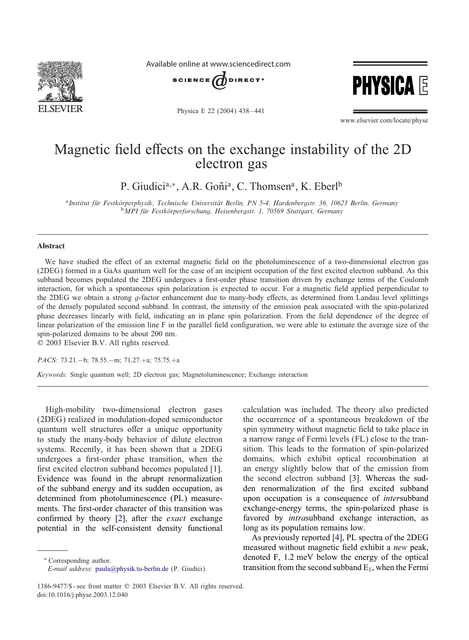

Available online at www.sciencedirect.com



Physica E 22 (2004) 438-441



www.elsevier.com/locate/physe

## Magnetic field effects on the exchange instability of the 2D electron gas

P. Giudici<sup>a,∗</sup>, A.R. Goñi<sup>a</sup>, C. Thomsen<sup>a</sup>, K. Eberl<sup>b</sup>

<sup>a</sup>*Institut fur Festk orperphysik, Technische Universit at Berlin, PN 5-4, Hardenbergstr. 36, 10623 Berlin, Germany bMPI für Festkörperforschung, Heisenbergstr. 1, 70569 Stuttgart, Germany* 

## Abstract

We have studied the effect of an external magnetic field on the photoluminescence of a two-dimensional electron gas (2DEG) formed in a GaAs quantum well for the case of an incipient occupation of the first excited electron subband. As this subband becomes populated the 2DEG undergoes a first-order phase transition driven by exchange terms of the Coulomb interaction, for which a spontaneous spin polarization is expected to occur. For a magnetic field applied perpendicular to the 2DEG we obtain a strong g-factor enhancement due to many-body effects, as determined from Landau level splittings of the densely populated second subband. In contrast, the intensity of the emission peak associated with the spin-polarized phase decreases linearly with field, indicating an in plane spin polarization. From the field dependence of the degree of linear polarization of the emission line  $F$  in the parallel field configuration, we were able to estimate the average size of the spin-polarized domains to be about 200 nm.

? 2003 Elsevier B.V. All rights reserved.

*PACS:* 73.21.−b; 78.55.−m; 71.27.+a; 75.75.+a

*Keywords:* Single quantum well; 2D electron gas; Magnetoluminescence; Exchange interaction

High-mobility two-dimensional electron gases (2DEG) realized in modulation-doped semiconductor quantum well structures offer a unique opportunity to study the many-body behavior of dilute electron systems. Recently, it has been shown that a 2DEG undergoes a first-order phase transition, when the first excited electron subband becomes populated [\[1\]](#page-3-0). Evidence was found in the abrupt renormalization of the subband energy and its sudden occupation, as determined from photoluminescence (PL) measurements. The first-order character of this transition was confirmed by theory [\[2\]](#page-3-0), after the *exact* exchange potential in the self-consistent density functional

∗ Corresponding author.

calculation was included. The theory also predicted the occurrence of a spontaneous breakdown of the spin symmetry without magnetic field to take place in a narrow range of Fermi levels (FL) close to the transition. This leads to the formation of spin-polarized domains, which exhibit optical recombination at an energy slightly below that of the emission from the second electron subband [\[3\]](#page-3-0). Whereas the sudden renormalization of the first excited subband upon occupation is a consequence of *inter*subband exchange-energy terms, the spin-polarized phase is favored by *intra*subband exchange interaction, as long as its population remains low.

As previously reported [\[4\]](#page-3-0), PL spectra of the 2DEG measured without magnetic field exhibit a *new* peak, denoted F, 1:2 meV below the energy of the optical transition from the second subband  $E_1$ , when the Fermi

*E-mail address:* [paula@physik.tu-berlin.de](mailto:paula@physik.tu-berlin.de) (P. Giudici).

<sup>1386-9477/\$ -</sup> see front matter © 2003 Elsevier B.V. All rights reserved. doi:10.1016/j.physe.2003.12.040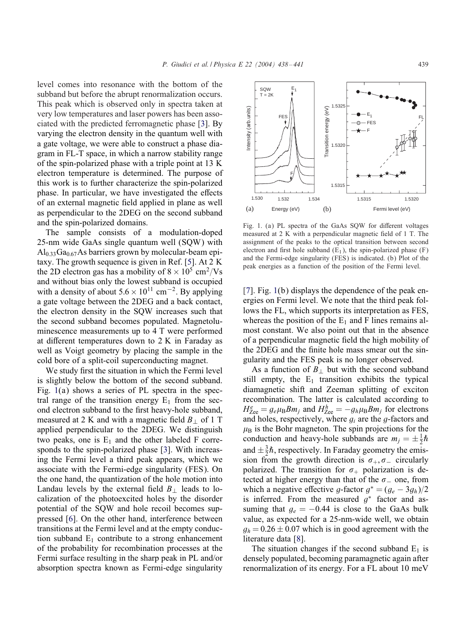level comes into resonance with the bottom of the subband but before the abrupt renormalization occurs. This peak which is observed only in spectra taken at very low temperatures and laser powers has been associated with the predicted ferromagnetic phase [\[3\]](#page-3-0). By varying the electron density in the quantum well with a gate voltage, we were able to construct a phase diagram in FL-T space, in which a narrow stability range of the spin-polarized phase with a triple point at 13 K electron temperature is determined. The purpose of this work is to further characterize the spin-polarized phase. In particular, we have investigated the effects of an external magnetic field applied in plane as well as perpendicular to the 2DEG on the second subband and the spin-polarized domains.

The sample consists of a modulation-doped 25-nm wide GaAs single quantum well (SQW) with  $Al_{0,33}Ga_{0,67}As$  barriers grown by molecular-beam epitaxy. The growth sequence is given in Ref. [\[5\]](#page-3-0). At 2 K the 2D electron gas has a mobility of  $8 \times 10^5$  cm<sup>2</sup>/Vs and without bias only the lowest subband is occupied with a density of about  $5.6 \times 10^{11}$  cm<sup>-2</sup>. By applying a gate voltage between the 2DEG and a back contact, the electron density in the SQW increases such that the second subband becomes populated. Magnetoluminescence measurements up to 4 T were performed at different temperatures down to  $2 K$  in Faraday as well as Voigt geometry by placing the sample in the cold bore of a split-coil superconducting magnet.

We study first the situation in which the Fermi level is slightly below the bottom of the second subband. Fig.  $1(a)$  shows a series of PL spectra in the spectral range of the transition energy  $E_1$  from the second electron subband to the first heavy-hole subband, measured at 2 K and with a magnetic field  $B_+$  of 1 T applied perpendicular to the 2DEG. We distinguish two peaks, one is  $E_1$  and the other labeled F corresponds to the spin-polarized phase [\[3\]](#page-3-0). With increasing the Fermi level a third peak appears, which we associate with the Fermi-edge singularity (FES). On the one hand, the quantization of the hole motion into Landau levels by the external field  $B_\perp$  leads to localization of the photoexcited holes by the disorder potential of the SQW and hole recoil becomes suppressed [\[6\]](#page-3-0). On the other hand, interference between transitions at the Fermi level and at the empty conduction subband  $E_1$  contribute to a strong enhancement of the probability for recombination processes at the Fermi surface resulting in the sharp peak in PL and/or absorption spectra known as Fermi-edge singularity



Fig. 1. (a) PL spectra of the GaAs SQW for different voltages measured at  $2 K$  with a perpendicular magnetic field of  $1 T$ . The assignment of the peaks to the optical transition between second electron and first hole subband  $(E_1)$ , the spin-polarized phase  $(F)$ and the Fermi-edge singularity (FES) is indicated. (b) Plot of the peak energies as a function of the position of the Fermi level.

[\[7\]](#page-3-0). Fig. 1(b) displays the dependence of the peak energies on Fermi level. We note that the third peak follows the FL, which supports its interpretation as FES, whereas the position of the  $E_1$  and F lines remains almost constant. We also point out that in the absence of a perpendicular magnetic field the high mobility of the 2DEG and the finite hole mass smear out the singularity and the FES peak is no longer observed.

As a function of  $B_{\perp}$  but with the second subband still empty, the  $E_1$  transition exhibits the typical diamagnetic shift and Zeeman splitting of exciton recombination. The latter is calculated according to  $H_{\text{Zee}}^e = g_e \mu_\text{B} B m_j$  and  $H_{\text{Zee}}^h = -g_h \mu_\text{B} B m_j$  for electrons and holes, respectively, where  $g_i$  are the g-factors and  $\mu_{\rm B}$  is the Bohr magneton. The spin projections for the conduction and heavy-hole subbands are  $m_j = \pm \frac{1}{2}\hbar$ and  $\pm \frac{3}{2}\hbar$ , respectively. In Faraday geometry the emission from the growth direction is  $\sigma_+$ ,  $\sigma_-$  circularly polarized. The transition for  $\sigma_+$  polarization is detected at higher energy than that of the  $\sigma_-$  one, from which a negative effective g-factor  $g^* = (g_e - 3g_h)/2$ is inferred. From the measured  $q^*$  factor and assuming that  $g_e = -0.44$  is close to the GaAs bulk value, as expected for a 25-nm-wide well, we obtain  $g_h = 0.26 \pm 0.07$  which is in good agreement with the literature data [\[8\]](#page-3-0).

The situation changes if the second subband  $E_1$  is densely populated, becoming paramagnetic again after renormalization of its energy. For a FL about 10 meV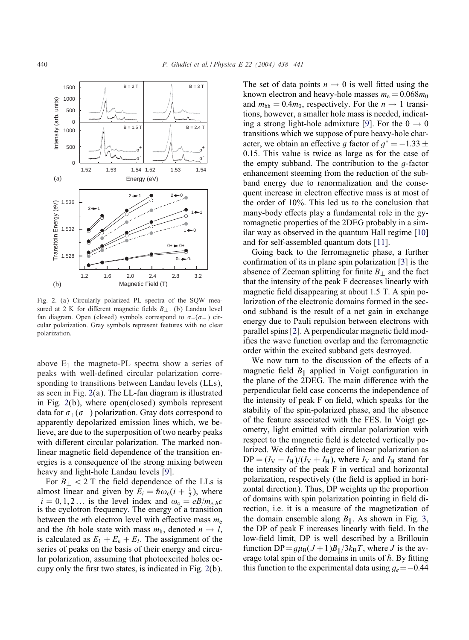

Fig. 2. (a) Circularly polarized PL spectra of the SQW measured at 2 K for different magnetic fields  $B_{\perp}$ . (b) Landau level fan diagram. Open (closed) symbols correspond to  $\sigma_+(\sigma_-)$  circular polarization. Gray symbols represent features with no clear polarization.

above  $E_1$  the magneto-PL spectra show a series of peaks with well-defined circular polarization corresponding to transitions between Landau levels (LLs), as seen in Fig. 2(a). The LL-fan diagram is illustrated in Fig. 2(b), where open(closed) symbols represent data for  $\sigma_{+}(\sigma_{-})$  polarization. Gray dots correspond to apparently depolarized emission lines which, we believe, are due to the superposition of two nearby peaks with different circular polarization. The marked nonlinear magnetic field dependence of the transition energies is a consequence of the strong mixing between heavy and light-hole Landau levels [\[9\]](#page-3-0).

For  $B_{\perp}$  < 2 T the field dependence of the LLs is almost linear and given by  $\bar{E}_i = \hbar \omega_c (i + \frac{1}{2})$ , where  $i = 0, 1, 2...$  is the level index and  $\omega_c = eB/m_{e,h}c$ is the cyclotron frequency. The energy of a transition between the *n*th electron level with effective mass  $m_e$ and the *l*th hole state with mass  $m_h$ , denoted  $n \rightarrow l$ , is calculated as  $E_1 + E_n + E_l$ . The assignment of the series of peaks on the basis of their energy and circular polarization, assuming that photoexcited holes occupy only the first two states, is indicated in Fig.  $2(b)$ .

The set of data points  $n \to 0$  is well fitted using the known electron and heavy-hole masses  $m_e = 0.068m_0$ and  $m_{hh} = 0.4m_0$ , respectively. For the  $n \rightarrow 1$  transitions, however, a smaller hole mass is needed, indicat-ing a strong light-hole admixture [\[9\]](#page-3-0). For the  $0 \rightarrow 0$ transitions which we suppose of pure heavy-hole character, we obtain an effective g factor of  $q^* = -1.33 \pm 1$ 0:15. This value is twice as large as for the case of the empty subband. The contribution to the  $q$ -factor enhancement steeming from the reduction of the subband energy due to renormalization and the consequent increase in electron effective mass is at most of the order of 10%. This led us to the conclusion that many-body effects play a fundamental role in the gyromagnetic properties of the 2DEG probably in a similar way as observed in the quantum Hall regime [\[10\]](#page-3-0) and for self-assembled quantum dots [\[11\]](#page-3-0).

Going back to the ferromagnetic phase, a further confirmation of its in plane spin polarization  $[3]$  is the absence of Zeeman splitting for finite  $B_1$  and the fact that the intensity of the peak F decreases linearly with magnetic field disappearing at about 1.5 T. A spin polarization of the electronic domains formed in the second subband is the result of a net gain in exchange energy due to Pauli repulsion between electrons with parallel spins [\[2\]](#page-3-0). A perpendicular magnetic field modifies the wave function overlap and the ferromagnetic order within the excited subband gets destroyed.

We now turn to the discussion of the effects of a magnetic field  $B_{\parallel}$  applied in Voigt configuration in the plane of the 2DEG. The main difference with the perpendicular field case concerns the independence of the intensity of peak F on field, which speaks for the stability of the spin-polarized phase, and the absence of the feature associated with the FES. In Voigt geometry, light emitted with circular polarization with respect to the magnetic field is detected vertically polarized. We define the degree of linear polarization as  $DP = (I_V - I_H)/(I_V + I_H)$ , where  $I_V$  and  $I_H$  stand for the intensity of the peak F in vertical and horizontal polarization, respectively (the field is applied in horizontal direction). Thus, DP weights up the proportion of domains with spin polarization pointing in field direction, i.e. it is a measure of the magnetization of the domain ensemble along  $B_{\parallel}$ . As shown in Fig. [3,](#page-3-0) the DP of peak F increases linearly with field. In the low-field limit, DP is well described by a Brillouin function  $DP = g\mu_B(J + 1)B_{\parallel}/3k_BT$ , where J is the average total spin of the domains in units of  $\hbar$ . By fitting this function to the experimental data using  $g_e = -0.44$